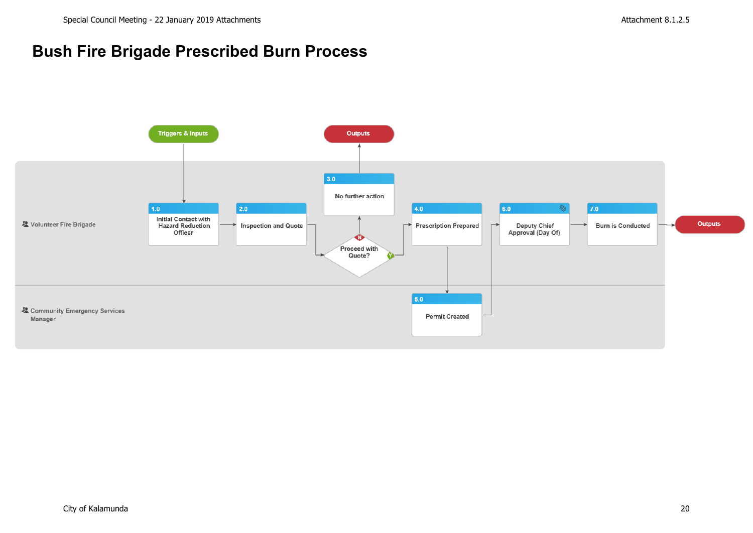# **Bush Fire Brigade Prescribed Burn Process**

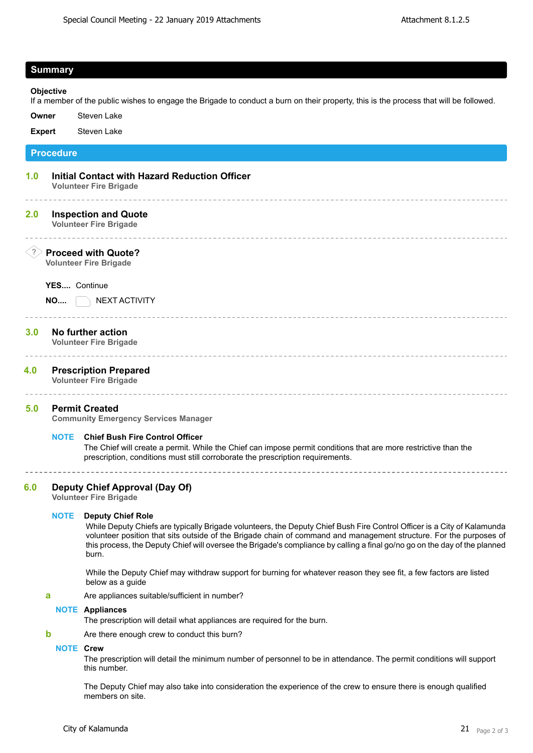## **Summary**

**Objective** If a member of the public wishes to engage the Brigade to conduct a burn on their property, this is the process that will be followed.

**Owner** Steven Lake

**Expert** Steven Lake

**Procedure**

**1.0 Initial Contact with Hazard Reduction Officer Volunteer Fire Brigade**

# **2.0 Inspection and Quote**

**Volunteer Fire Brigade**

# ? **Proceed with Quote?**

**Volunteer Fire Brigade**

**YES....** Continue

**NO....** NEXT ACTIVITY

# **3.0 No further action**

**Volunteer Fire Brigade**

# **4.0 Prescription Prepared**

**Volunteer Fire Brigade**

## **5.0 Permit Created**

**Community Emergency Services Manager**

#### **NOTE Chief Bush Fire Control Officer**

The Chief will create a permit. While the Chief can impose permit conditions that are more restrictive than the prescription, conditions must still corroborate the prescription requirements.

**6.0 Deputy Chief Approval (Day Of)**

**Volunteer Fire Brigade**

## **NOTE Deputy Chief Role**

While Deputy Chiefs are typically Brigade volunteers, the Deputy Chief Bush Fire Control Officer is a City of Kalamunda volunteer position that sits outside of the Brigade chain of command and management structure. For the purposes of this process, the Deputy Chief will oversee the Brigade's compliance by calling a final go/no go on the day of the planned burn.

While the Deputy Chief may withdraw support for burning for whatever reason they see fit, a few factors are listed below as a guide

**a** Are appliances suitable/sufficient in number?

#### **NOTE Appliances**

The prescription will detail what appliances are required for the burn.

**b** Are there enough crew to conduct this burn?

## **NOTE Crew**

The prescription will detail the minimum number of personnel to be in attendance. The permit conditions will support this number.

The Deputy Chief may also take into consideration the experience of the crew to ensure there is enough qualified members on site.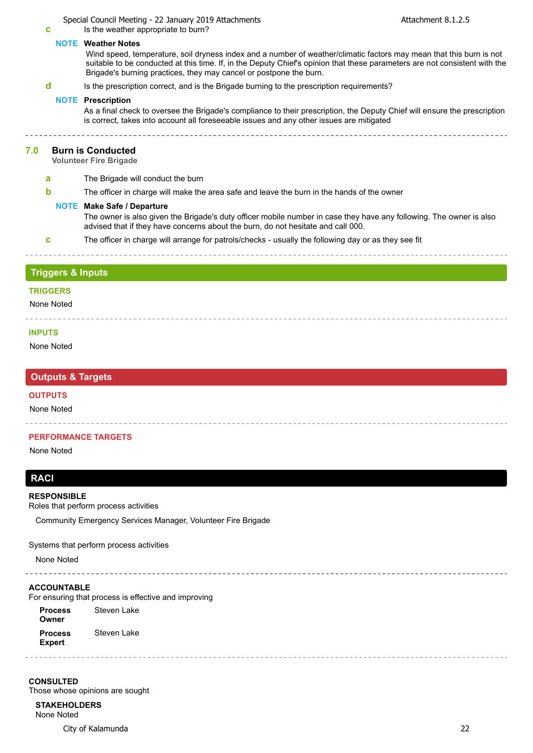# Special Council Meeting - 22 January 2019 Attachments Attachment 8.1.2.5

**c** Is the weather appropriate to burn?

## **NOTE Weather Notes**

Wind speed, temperature, soil dryness index and a number of weather/climatic factors may mean that this burn is not suitable to be conducted at this time. If, in the Deputy Chief's opinion that these parameters are not consistent with the Brigade's burning practices, they may cancel or postpone the burn.

**d** Is the prescription correct, and is the Brigade burning to the prescription requirements?

#### **NOTE Prescription**

As a final check to oversee the Brigade's compliance to their prescription, the Deputy Chief will ensure the prescription is correct, takes into account all foreseeable issues and any other issues are mitigated

#### **7.0 Burn is Conducted**

**Volunteer Fire Brigade**

- **a** The Brigade will conduct the burn
- **b** The officer in charge will make the area safe and leave the burn in the hands of the owner

#### **NOTE Make Safe / Departure**

The owner is also given the Brigade's duty officer mobile number in case they have any following. The owner is also advised that if they have concerns about the burn, do not hesitate and call 000.

**c** The officer in charge will arrange for patrols/checks - usually the following day or as they see fit

# **Triggers & Inputs**

#### **TRIGGERS**

None Noted <u>uuuuuuu</u>

#### **INPUTS**

None Noted

# **Outputs & Targets**

#### **OUTPUTS**

None Noted

#### **PERFORMANCE TARGETS**

 $- - - - - - -$ 

None Noted

# **RACI**

#### **RESPONSIBLE**

Roles that perform process activities

Community Emergency Services Manager, Volunteer Fire Brigade

Systems that perform process activities

None Noted

#### **ACCOUNTABLE**

For ensuring that process is effective and improving

**Process Owner Process Expert** Steven Lake Steven Lake

**CONSULTED** Those whose opinions are sought

**STAKEHOLDERS** None Noted

City of Kalamunda 22